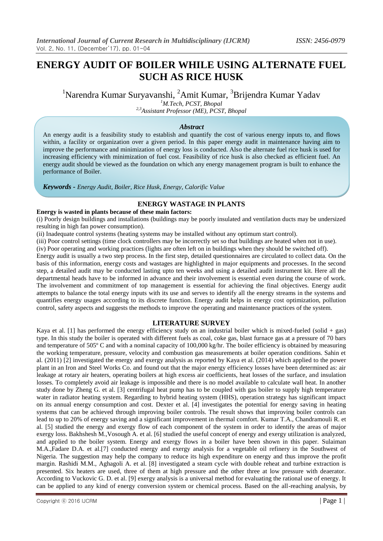# **ENERGY AUDIT OF BOILER WHILE USING ALTERNATE FUEL SUCH AS RICE HUSK**

<sup>1</sup>Narendra Kumar Suryavanshi, <sup>2</sup>Amit Kumar, <sup>3</sup>Brijendra Kumar Yadav

*<sup>1</sup>M.Tech, PCST, Bhopal*

*2,3Assistant Professor (ME), PCST, Bhopal*

## *Abstract*

An energy audit is a feasibility study to establish and quantify the cost of various energy inputs to, and flows within, a facility or organization over a given period. In this paper energy audit in maintenance having aim to improve the performance and minimization of energy loss is conducted. Also the alternate fuel rice husk is used for increasing efficiency with minimization of fuel cost. Feasibility of rice husk is also checked as efficient fuel. An energy audit should be viewed as the foundation on which any energy management program is built to enhance the performance of Boiler.

*Keywords - Energy Audit, Boiler, Rice Husk, Energy, Calorific Value*

# **ENERGY WASTAGE IN PLANTS**

**Energy is wasted in plants because of these main factors:** 

(i) Poorly design buildings and installations (buildings may be poorly insulated and ventilation ducts may be undersized resulting in high fan power consumption).

(ii) Inadequate control systems (heating systems may be installed without any optimum start control).

(iii) Poor control settings (time clock controllers may be incorrectly set so that buildings are heated when not in use).

(iv) Poor operating and working practices (lights are often left on in buildings when they should be switched off).

Energy audit is usually a two step process. In the first step, detailed questionnaires are circulated to collect data. On the basis of this information, energy costs and wastages are highlighted in major equipments and processes. In the second step, a detailed audit may be conducted lasting upto ten weeks and using a detailed audit instrument kit. Here all the departmental heads have to be informed in advance and their involvement is essential even during the course of work. The involvement and commitment of top management is essential for achieving the final objectives. Energy audit attempts to balance the total energy inputs with its use and serves to identify all the energy streams in the systems and quantifies energy usages according to its discrete function. Energy audit helps in energy cost optimization, pollution control, safety aspects and suggests the methods to improve the operating and maintenance practices of the system.

### **LITERATURE SURVEY**

Kaya et al. [1] has performed the energy efficiency study on an industrial boiler which is mixed-fueled (solid + gas) type. In this study the boiler is operated with different fuels as coal, coke gas, blast furnace gas at a pressure of 70 bars and temperature of 505° C and with a nominal capacity of 100,000 kg/hr. The boiler efficiency is obtained by measuring the working temperature, pressure, velocity and combustion gas measurements at boiler operation conditions. Sahin et al. (2011) [2] investigated the energy and exergy analysis as reported by Kaya et al. (2014) which applied to the power plant in an Iron and Steel Works Co. and found out that the major energy efficiency losses have been determined as: air leakage at rotary air heaters, operating boilers at high excess air coefficients, heat losses of the surface, and insulation losses. To completely avoid air leakage is impossible and there is no model available to calculate wall heat. In another study done by Zheng G. et al. [3] centrifugal heat pump has to be coupled with gas boiler to supply high temperature water in radiator heating system. Regarding to hybrid heating system (HHS), operation strategy has significant impact on its annual energy consumption and cost. Dexter et al. [4] investigates the potential for energy saving in heating systems that can be achieved through improving boiler controls. The result shows that improving boiler controls can lead to up to 20% of energy saving and a significant improvement in thermal comfort. Kumar T.A., Chandramouli R. et al. [5] studied the energy and exergy flow of each component of the system in order to identify the areas of major exergy loss. Bakhshesh M.,Vosough A. et al. [6] studied the useful concept of energy and exergy utilization is analyzed, and applied to the boiler system. Energy and exergy flows in a boiler have been shown in this paper. Sulaiman M.A.,Fadare D.A. et al.[7] conducted energy and exergy analysis for a vegetable oil refinery in the Southwest of Nigeria. The suggestion may help the company to reduce its high expenditure on energy and thus improve the profit margin. Rashidi M.M., Aghagoli A. et al. [8] investigated a steam cycle with double reheat and turbine extraction is presented. Six heaters are used, three of them at high pressure and the other three at low pressure with deaerator. According to Vuckovic G. D. et al. [9] exergy analysis is a universal method for evaluating the rational use of energy. It can be applied to any kind of energy conversion system or chemical process. Based on the all-reaching analysis, by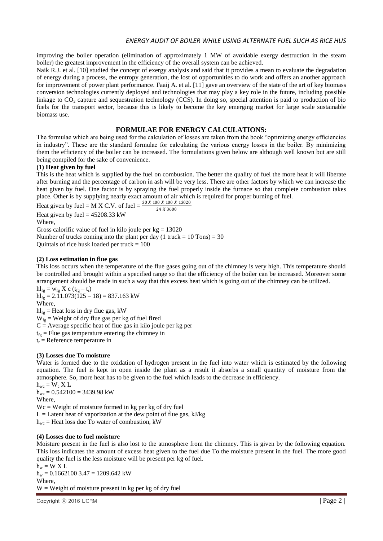improving the boiler operation (elimination of approximately 1 MW of avoidable exergy destruction in the steam boiler) the greatest improvement in the efficiency of the overall system can be achieved.

Naik R.J. et al. [10] studied the concept of exergy analysis and said that it provides a mean to evaluate the degradation of energy during a process, the entropy generation, the lost of opportunities to do work and offers an another approach for improvement of power plant performance. Faaij A. et al. [11] gave an overview of the state of the art of key biomass conversion technologies currently deployed and technologies that may play a key role in the future, including possible linkage to  $CO<sub>2</sub>$  capture and sequestration technology (CCS). In doing so, special attention is paid to production of bio fuels for the transport sector, because this is likely to become the key emerging market for large scale sustainable biomass use.

# **FORMULAE FOR ENERGY CALCULATIONS:**

The formulae which are being used for the calculation of losses are taken from the book "optimizing energy efficiencies in industry". These are the standard formulae for calculating the various energy losses in the boiler. By minimizing them the efficiency of the boiler can be increased. The formulations given below are although well known but are still being compiled for the sake of convenience.

## **(1) Heat given by fuel**

This is the heat which is supplied by the fuel on combustion. The better the quality of fuel the more heat it will liberate after burning and the percentage of carbon in ash will be very less. There are other factors by which we can increase the heat given by fuel. One factor is by spraying the fuel properly inside the furnace so that complete combustion takes place. Other is by supplying nearly exact amount of air which is required for proper burning of fuel.

Heat given by fuel = M X C.V. of fuel =  $\frac{30 X 100 X 100 X 13020}{24 X 3600}$ Heat given by fuel =  $45208.33$  kW

Where,

Gross calorific value of fuel in kilo joule per  $kg = 13020$ 

Number of trucks coming into the plant per day (1 truck =  $10$  Tons) =  $30$ Quintals of rice husk loaded per truck  $= 100$ 

## **(2) Loss estimation in flue gas**

This loss occurs when the temperature of the flue gases going out of the chimney is very high. This temperature should be controlled and brought within a specified range so that the efficiency of the boiler can be increased. Moreover some arrangement should be made in such a way that this excess heat which is going out of the chimney can be utilized.

 $hl_{fg} = w_{fg} X c (t_{fg} - t_r)$  $h1_{fg} = 2.11.073(125 - 18) = 837.163$  kW Where,

 $hl_{fg}$  = Heat loss in dry flue gas, kW

 $W_{fg}$  = Weight of dry flue gas per kg of fuel fired

 $C =$  Average specific heat of flue gas in kilo joule per kg per

 $t_{fg}$  = Flue gas temperature entering the chimney in

 $t_r$  = Reference temperature in

## **(3) Losses due To moisture**

Water is formed due to the oxidation of hydrogen present in the fuel into water which is estimated by the following equation. The fuel is kept in open inside the plant as a result it absorbs a small quantity of moisture from the atmosphere. So, more heat has to be given to the fuel which leads to the decrease in efficiency.

 $h_{wc} = W_c X L$  $h_{wc} = 0.542100 = 3439.98$  kW Where,

 $Wc = Weight of moisture formed in kg per kg of dry fuel$ 

 $L =$  Latent heat of vaporization at the dew point of flue gas, kJ/kg

 $h_{wc}$  = Heat loss due To water of combustion, kW

## **(4) Losses due to fuel moisture**

Moisture present in the fuel is also lost to the atmosphere from the chimney. This is given by the following equation. This loss indicates the amount of excess heat given to the fuel due To the moisture present in the fuel. The more good quality the fuel is the less moisture will be present per kg of fuel.

 $h_w = W X L$ 

 $h_w = 0.1662100$  3.47 = 1209.642 kW

Where,

 $W = Weight of moisture present in kg per kg of dry fuel$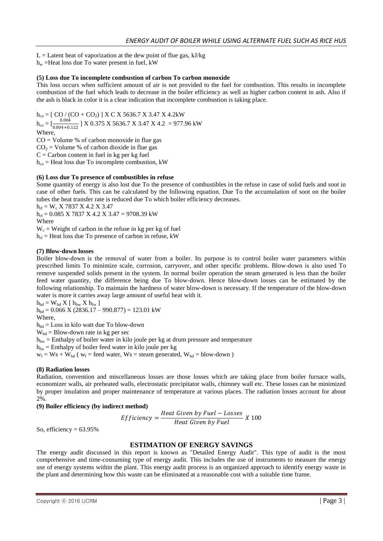$L =$  Latent heat of vaporization at the dew point of flue gas, kJ/kg

 $h_w$  =Heat loss due To water present in fuel, kW

## **(5) Loss due To incomplete combustion of carbon To carbon monoxide**

This loss occurs when sufficient amount of air is not provided to the fuel for combustion. This results in incomplete combustion of the fuel which leads to decrease in the boiler efficiency as well as higher carbon content in ash. Also if the ash is black in color it is a clear indication that incomplete combustion is taking place.

 $h_{co} = [CO / (CO + CO<sub>2</sub>)] X C X 5636.7 X 3.47 X 4.2kW$  $h_{\rm co} = \left[\frac{0.004}{0.004 \pm 0.004}\right]$  $\frac{0.004}{0.004+0.122}$  J X 0.375 X 5636.7 X 3.47 X 4.2 = 977.96 kW Where,  $CO =$  Volume % of carbon monoxide in flue gas  $CO<sub>2</sub> = Volume % of carbon dioxide in flue gas$  $C =$  Carbon content in fuel in kg per kg fuel  $h_{\rm co}$  = Heat loss due To incomplete combustion, kW

### **(6) Loss due To presence of combustibles in refuse**

Some quantity of energy is also lost due To the presence of combustibles in the refuse in case of solid fuels and soot in case of other fuels. This can be calculated by the following equation. Due To the accumulation of soot on the boiler tubes the heat transfer rate is reduced due To which boiler efficiency decreases.

 $h_{\text{rf}} = W_c$  X 7837 X 4.2 X 3.47

 $h_{\text{rf}} = 0.085 \text{ X } 7837 \text{ X } 4.2 \text{ X } 3.47 = 9708.39 \text{ kW}$ Where

 $W_c$  = Weight of carbon in the refuse in kg per kg of fuel

 $h_{\text{rf}}$  = Heat loss due To presence of carbon in refuse, kW

### **(7) Blow-down losses**

Boiler blow-down is the removal of water from a boiler. Its purpose is to control boiler water parameters within prescribed limits To minimize scale, corrosion, carryover, and other specific problems. Blow-down is also used To remove suspended solids present in the system. In normal boiler operation the steam generated is less than the boiler feed water quantity, the difference being due To blow-down. Hence blow-down losses can be estimated by the following relationship. To maintain the hardness of water blow-down is necessary. If the temperature of the blow-down water is more it carries away large amount of useful heat with it.

 $h_{\text{bd}} = W_{\text{bd}} X$  [  $h_{\text{bw}} X h_{\text{fw}}$  ]

 $h_{\text{bd}} = 0.066$  X (2836.17 – 990.877) = 123.01 kW Where,

 $h_{bd} = Loss$  in kilo watt due To blow-down

 $W_{bd}$  = Blow-down rate in kg per sec

 $h_{bw}$  = Enthalpy of boiler water in kilo joule per kg at drum pressure and temperature

 $h_{fw}$  = Enthalpy of boiler feed water in kilo joule per kg

 $w_f = W_s + W_{bd}$  ( $w_f$  = feed water,  $W_s$  = steam generated,  $W_{bd}$  = blow-down )

### **(8) Radiation losses**

Radiation, convention and miscellaneous losses are those losses which are taking place from boiler furnace walls, economizer walls, air preheated walls, electrostatic precipitator walls, chimney wall etc. These losses can be minimized by proper insulation and proper maintenance of temperature at various places. The radiation losses account for about 2%.

### **(9) Boiler efficiency (by indirect method)**

*Efficiency* = 
$$
\frac{Heat\ Given\ by\ Fuel - Losses}{Heat\ Given\ by\ Fuel}
$$
 X 100

So, efficiency  $= 63.95\%$ 

## **ESTIMATION OF ENERGY SAVINGS**

The energy audit discussed in this report is known as "Detailed Energy Audit". This type of audit is the most comprehensive and time-consuming type of energy audit. This includes the use of instruments to measure the energy use of energy systems within the plant. This energy audit process is an organized approach to identify energy waste in the plant and determining how this waste can be eliminated at a reasonable cost with a suitable time frame.